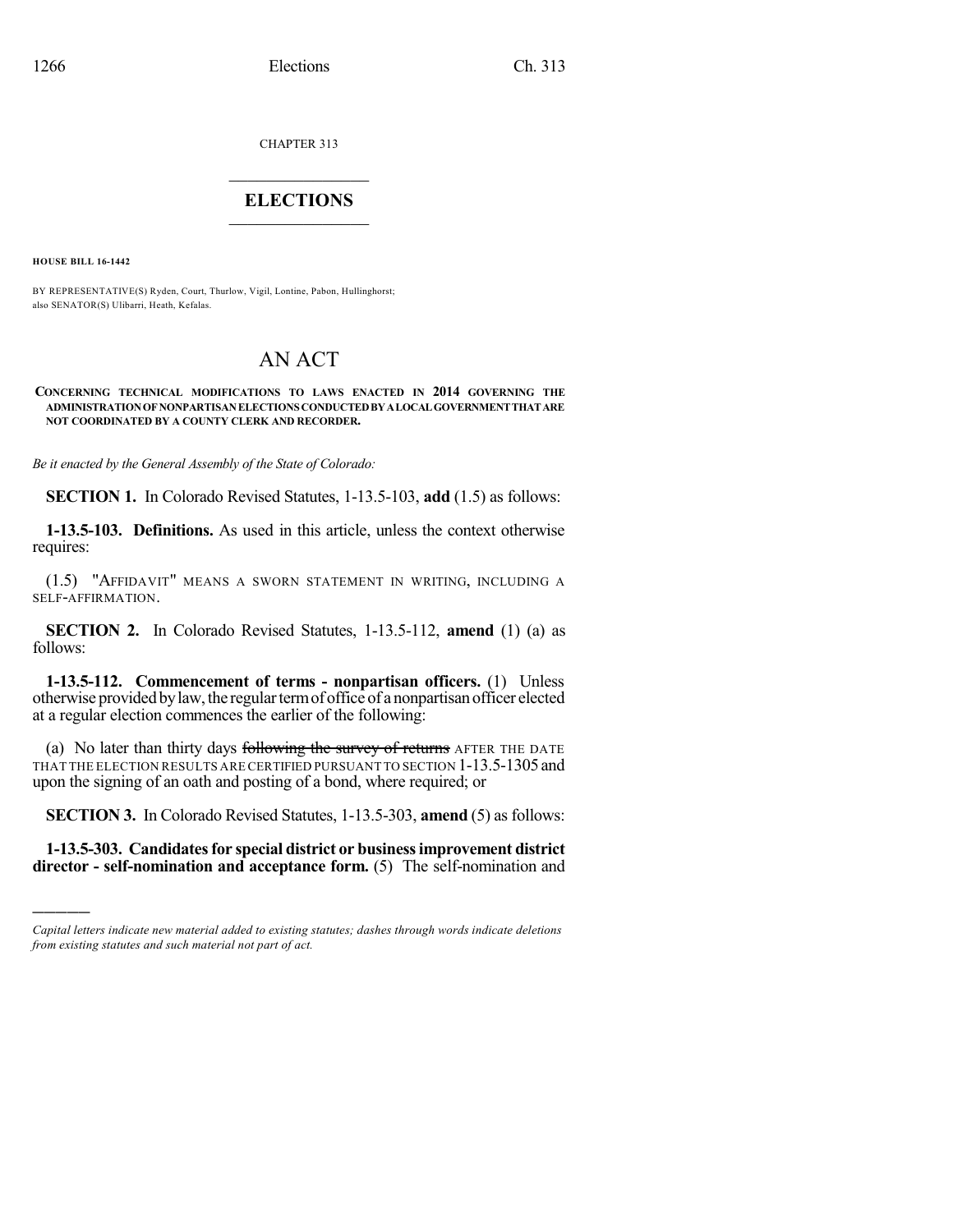CHAPTER 313

## $\mathcal{L}_\text{max}$  . The set of the set of the set of the set of the set of the set of the set of the set of the set of the set of the set of the set of the set of the set of the set of the set of the set of the set of the set **ELECTIONS**  $\_$

**HOUSE BILL 16-1442**

)))))

BY REPRESENTATIVE(S) Ryden, Court, Thurlow, Vigil, Lontine, Pabon, Hullinghorst; also SENATOR(S) Ulibarri, Heath, Kefalas.

# AN ACT

#### **CONCERNING TECHNICAL MODIFICATIONS TO LAWS ENACTED IN 2014 GOVERNING THE ADMINISTRATIONOFNONPARTISANELECTIONSCONDUCTEDBYALOCALGOVERNMENTTHATARE NOT COORDINATED BY A COUNTY CLERK AND RECORDER.**

*Be it enacted by the General Assembly of the State of Colorado:*

**SECTION 1.** In Colorado Revised Statutes, 1-13.5-103, **add** (1.5) as follows:

**1-13.5-103. Definitions.** As used in this article, unless the context otherwise requires:

(1.5) "AFFIDAVIT" MEANS A SWORN STATEMENT IN WRITING, INCLUDING A SELF-AFFIRMATION.

**SECTION 2.** In Colorado Revised Statutes, 1-13.5-112, **amend** (1) (a) as follows:

**1-13.5-112. Commencement of terms - nonpartisan officers.** (1) Unless otherwise provided bylaw, the regulartermof office of a nonpartisan officer elected at a regular election commences the earlier of the following:

(a) No later than thirty days following the survey of returns AFTER THE DATE THAT THE ELECTION RESULTS ARECERTIFIED PURSUANT TO SECTION 1-13.5-1305 and upon the signing of an oath and posting of a bond, where required; or

**SECTION 3.** In Colorado Revised Statutes, 1-13.5-303, **amend** (5) as follows:

**1-13.5-303. Candidatesfor special district or businessimprovement district director - self-nomination and acceptance form.** (5) The self-nomination and

*Capital letters indicate new material added to existing statutes; dashes through words indicate deletions from existing statutes and such material not part of act.*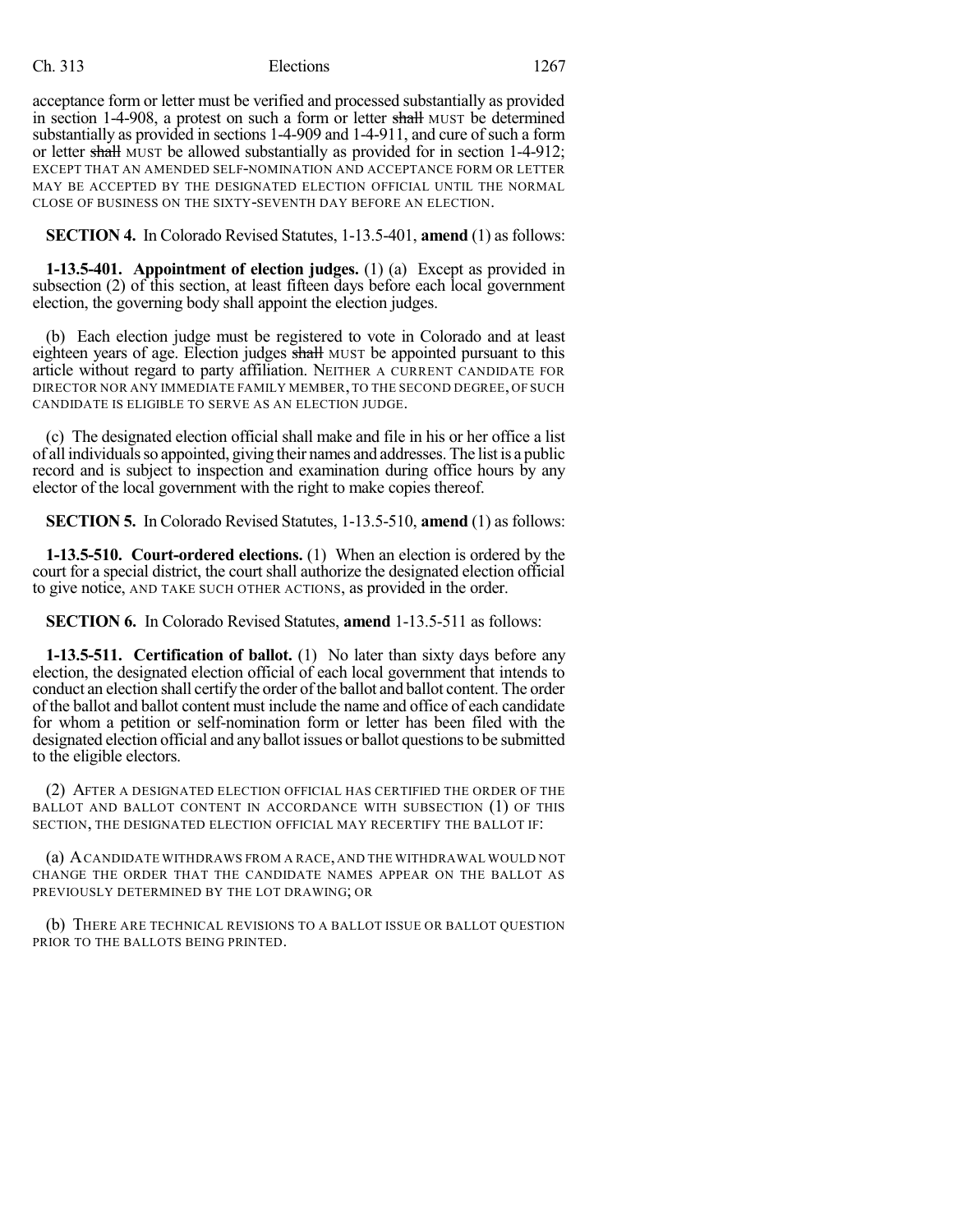### Ch. 313 Elections 1267

acceptance form or letter must be verified and processed substantially as provided in section 1-4-908, a protest on such a form or letter shall MUST be determined substantially as provided in sections 1-4-909 and 1-4-911, and cure of such a form or letter shall MUST be allowed substantially as provided for in section 1-4-912; EXCEPT THAT AN AMENDED SELF-NOMINATION AND ACCEPTANCE FORM OR LETTER MAY BE ACCEPTED BY THE DESIGNATED ELECTION OFFICIAL UNTIL THE NORMAL CLOSE OF BUSINESS ON THE SIXTY-SEVENTH DAY BEFORE AN ELECTION.

**SECTION 4.** In Colorado Revised Statutes, 1-13.5-401, **amend** (1) as follows:

**1-13.5-401. Appointment of election judges.** (1) (a) Except as provided in subsection (2) of this section, at least fifteen days before each local government election, the governing body shall appoint the election judges.

(b) Each election judge must be registered to vote in Colorado and at least eighteen years of age. Election judges shall MUST be appointed pursuant to this article without regard to party affiliation. NEITHER A CURRENT CANDIDATE FOR DIRECTOR NOR ANY IMMEDIATE FAMILY MEMBER, TO THE SECOND DEGREE, OF SUCH CANDIDATE IS ELIGIBLE TO SERVE AS AN ELECTION JUDGE.

(c) The designated election official shall make and file in his or her office a list of all individualsso appointed, giving their names and addresses. The list is a public record and is subject to inspection and examination during office hours by any elector of the local government with the right to make copies thereof.

**SECTION 5.** In Colorado Revised Statutes, 1-13.5-510, **amend** (1) as follows:

**1-13.5-510. Court-ordered elections.** (1) When an election is ordered by the court for a special district, the court shall authorize the designated election official to give notice, AND TAKE SUCH OTHER ACTIONS, as provided in the order.

**SECTION 6.** In Colorado Revised Statutes, **amend** 1-13.5-511 as follows:

**1-13.5-511. Certification of ballot.** (1) No later than sixty days before any election, the designated election official of each local government that intends to conduct an election shall certify the order of the ballot and ballot content. The order of the ballot and ballot content must include the name and office of each candidate for whom a petition or self-nomination form or letter has been filed with the designated election official and any ballot issues or ballot questionsto be submitted to the eligible electors.

(2) AFTER A DESIGNATED ELECTION OFFICIAL HAS CERTIFIED THE ORDER OF THE BALLOT AND BALLOT CONTENT IN ACCORDANCE WITH SUBSECTION (1) OF THIS SECTION, THE DESIGNATED ELECTION OFFICIAL MAY RECERTIFY THE BALLOT IF:

(a) ACANDIDATE WITHDRAWS FROM A RACE, AND THE WITHDRAWAL WOULD NOT CHANGE THE ORDER THAT THE CANDIDATE NAMES APPEAR ON THE BALLOT AS PREVIOUSLY DETERMINED BY THE LOT DRAWING; OR

(b) THERE ARE TECHNICAL REVISIONS TO A BALLOT ISSUE OR BALLOT QUESTION PRIOR TO THE BALLOTS BEING PRINTED.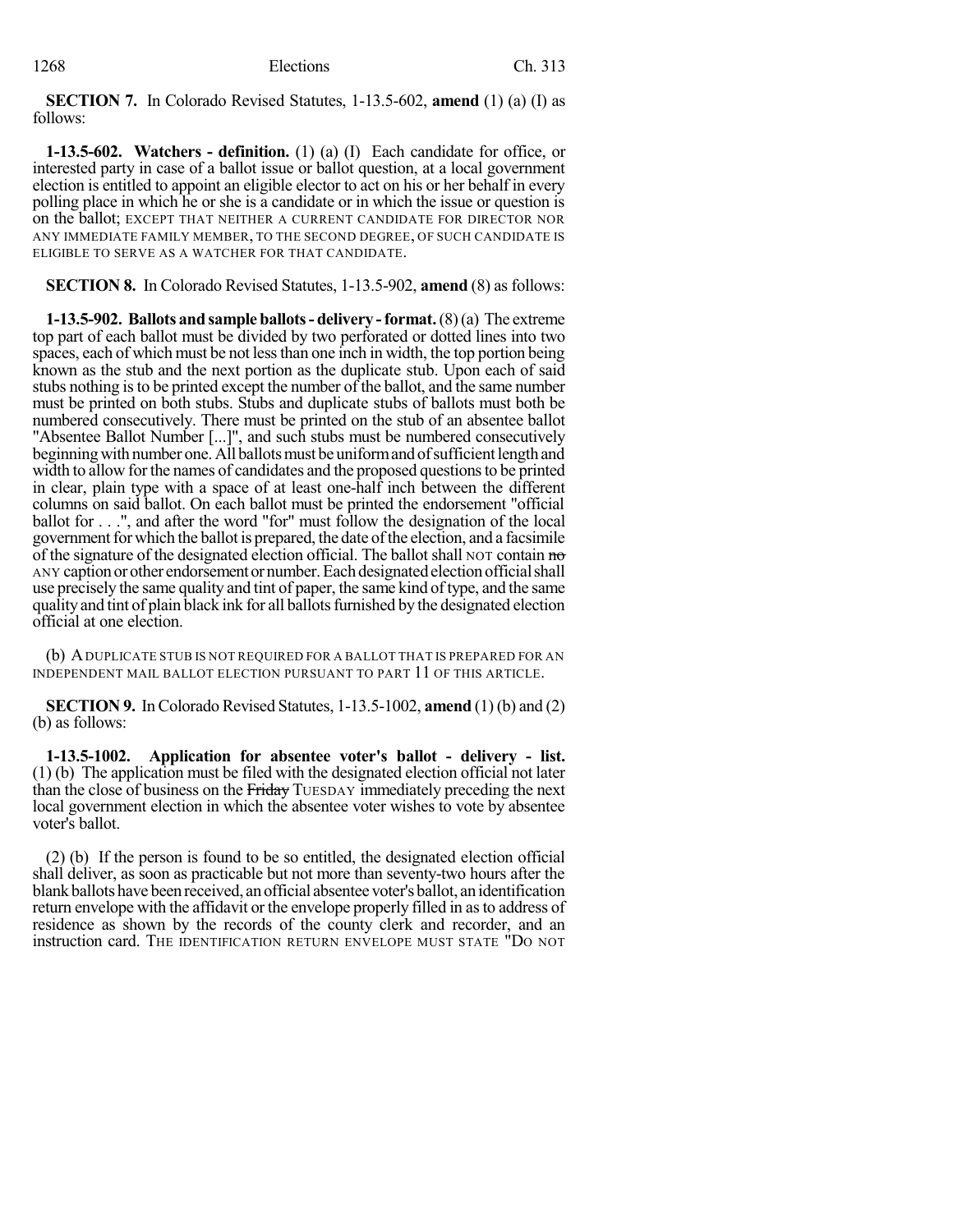**SECTION 7.** In Colorado Revised Statutes, 1-13.5-602, **amend** (1) (a) (I) as follows:

**1-13.5-602. Watchers - definition.** (1) (a) (I) Each candidate for office, or interested party in case of a ballot issue or ballot question, at a local government election is entitled to appoint an eligible elector to act on his or her behalf in every polling place in which he or she is a candidate or in which the issue or question is on the ballot; EXCEPT THAT NEITHER A CURRENT CANDIDATE FOR DIRECTOR NOR ANY IMMEDIATE FAMILY MEMBER, TO THE SECOND DEGREE, OF SUCH CANDIDATE IS ELIGIBLE TO SERVE AS A WATCHER FOR THAT CANDIDATE.

**SECTION 8.** In Colorado Revised Statutes, 1-13.5-902, **amend** (8) as follows:

**1-13.5-902. Ballots and sample ballots- delivery -format.**(8)(a) The extreme top part of each ballot must be divided by two perforated or dotted lines into two spaces, each of which must be not lessthan one inch in width, the top portion being known as the stub and the next portion as the duplicate stub. Upon each of said stubs nothing is to be printed except the number of the ballot, and the same number must be printed on both stubs. Stubs and duplicate stubs of ballots must both be numbered consecutively. There must be printed on the stub of an absentee ballot "Absentee Ballot Number [...]", and such stubs must be numbered consecutively beginning with number one. All ballots must be uniform and of sufficient length and width to allow for the names of candidates and the proposed questions to be printed in clear, plain type with a space of at least one-half inch between the different columns on said ballot. On each ballot must be printed the endorsement "official ballot for . . .", and after the word "for" must follow the designation of the local government for which the ballot is prepared, the date of the election, and a facsimile of the signature of the designated election official. The ballot shall NOT contain  $\theta$ ANY caption or other endorsement or number. Each designated election official shall use precisely the same quality and tint of paper, the same kind of type, and the same quality and tint of plain black ink for all ballots furnished by the designated election official at one election.

(b) ADUPLICATE STUB IS NOT REQUIRED FOR A BALLOT THAT IS PREPARED FOR AN INDEPENDENT MAIL BALLOT ELECTION PURSUANT TO PART 11 OF THIS ARTICLE.

**SECTION 9.** In Colorado Revised Statutes,  $1-13.5-1002$ , **amend** (1) (b) and (2) (b) as follows:

**1-13.5-1002. Application for absentee voter's ballot - delivery - list.** (1) (b) The application must be filed with the designated election official not later than the close of business on the Friday TUESDAY immediately preceding the next local government election in which the absentee voter wishes to vote by absentee voter's ballot.

(2) (b) If the person is found to be so entitled, the designated election official shall deliver, as soon as practicable but not more than seventy-two hours after the blank ballots have been received, an official absentee voter's ballot, an identification return envelope with the affidavit or the envelope properly filled in asto address of residence as shown by the records of the county clerk and recorder, and an instruction card. THE IDENTIFICATION RETURN ENVELOPE MUST STATE "DO NOT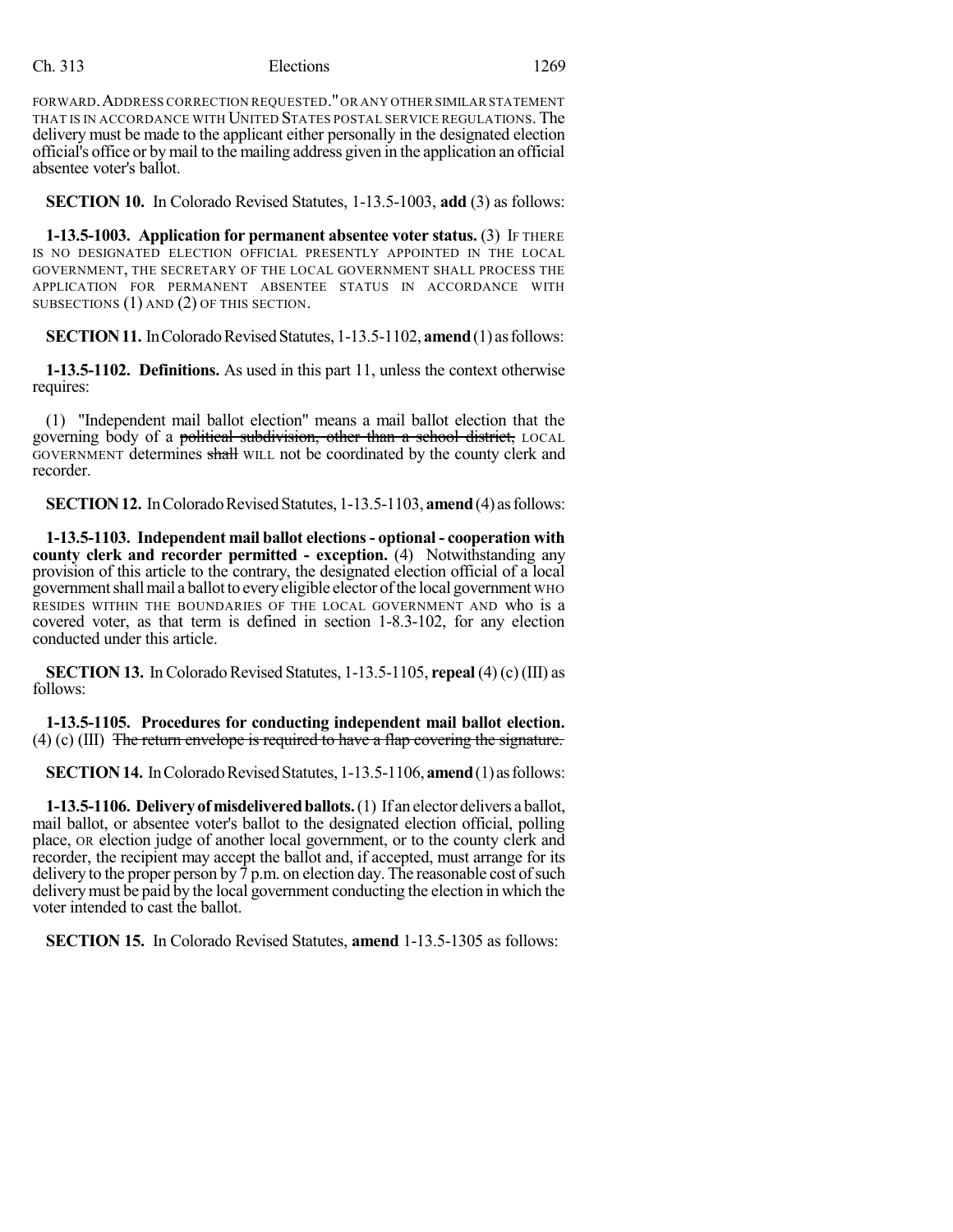### Ch. 313 Elections 1269

FORWARD.ADDRESS CORRECTION REQUESTED."OR ANY OTHER SIMILAR STATEMENT THAT IS IN ACCORDANCE WITH UNITED STATES POSTAL SERVICE REGULATIONS. The delivery must be made to the applicant either personally in the designated election official's office or by mail to the mailing address given in the application an official absentee voter's ballot.

**SECTION 10.** In Colorado Revised Statutes, 1-13.5-1003, **add** (3) as follows:

**1-13.5-1003. Application for permanent absentee voter status.** (3) IF THERE IS NO DESIGNATED ELECTION OFFICIAL PRESENTLY APPOINTED IN THE LOCAL GOVERNMENT, THE SECRETARY OF THE LOCAL GOVERNMENT SHALL PROCESS THE APPLICATION FOR PERMANENT ABSENTEE STATUS IN ACCORDANCE WITH SUBSECTIONS (1) AND (2) OF THIS SECTION.

**SECTION 11.** In Colorado Revised Statutes, 1-13.5-1102, **amend** (1) as follows:

**1-13.5-1102. Definitions.** As used in this part 11, unless the context otherwise requires:

(1) "Independent mail ballot election" means a mail ballot election that the governing body of a political subdivision, other than a school district, LOCAL GOVERNMENT determines shall WILL not be coordinated by the county clerk and recorder.

**SECTION 12.** In Colorado Revised Statutes, 1-13.5-1103, **amend** (4) as follows:

**1-13.5-1103. Independent mail ballot elections- optional - cooperation with county clerk and recorder permitted - exception.** (4) Notwithstanding any provision of this article to the contrary, the designated election official of a local government shall mail a ballot to every eligible elector of the local government WHO RESIDES WITHIN THE BOUNDARIES OF THE LOCAL GOVERNMENT AND who is a covered voter, as that term is defined in section 1-8.3-102, for any election conducted under this article.

**SECTION 13.** In Colorado Revised Statutes,  $1-13.5-1105$ , **repeal** (4) (c) (III) as follows:

**1-13.5-1105. Procedures for conducting independent mail ballot election.** (4) (c) (III) The return envelope is required to have a flap covering the signature.

**SECTION 14.** In Colorado Revised Statutes, 1-13.5-1106, **amend** (1) as follows:

**1-13.5-1106. Deliveryofmisdeliveredballots.**(1) If an elector delivers a ballot, mail ballot, or absentee voter's ballot to the designated election official, polling place, OR election judge of another local government, or to the county clerk and recorder, the recipient may accept the ballot and, if accepted, must arrange for its delivery to the proper person by  $7 \text{ p.m.}$  on election day. The reasonable cost of such deliverymust be paid by the local government conducting the election in which the voter intended to cast the ballot.

**SECTION 15.** In Colorado Revised Statutes, **amend** 1-13.5-1305 as follows: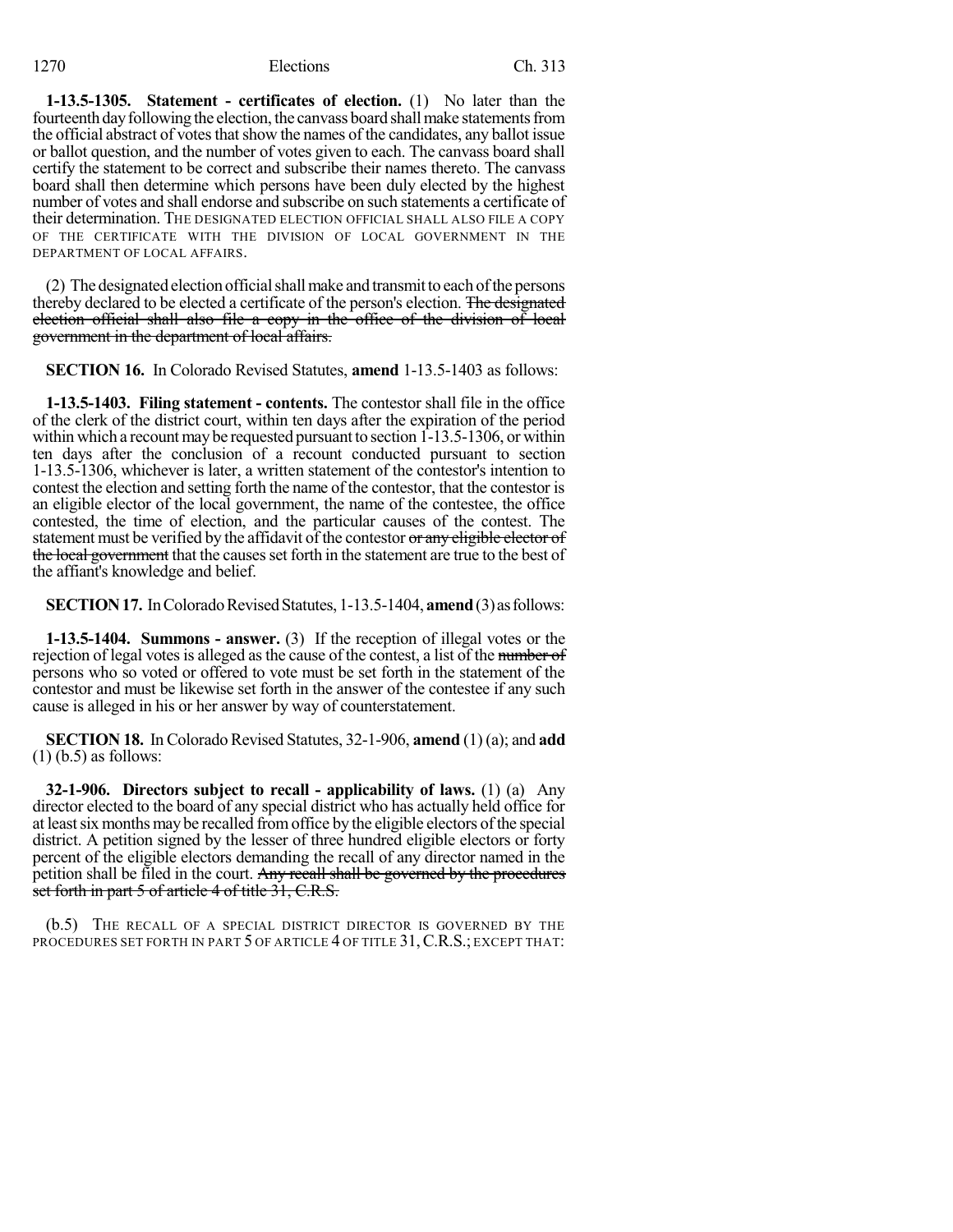#### 1270 Elections Ch. 313

**1-13.5-1305. Statement - certificates of election.** (1) No later than the fourteenth day following the election, the canvass board shall make statements from the official abstract of votes that show the names of the candidates, any ballot issue or ballot question, and the number of votes given to each. The canvass board shall certify the statement to be correct and subscribe their names thereto. The canvass board shall then determine which persons have been duly elected by the highest number of votes and shall endorse and subscribe on such statements a certificate of their determination. THE DESIGNATED ELECTION OFFICIAL SHALL ALSO FILE A COPY OF THE CERTIFICATE WITH THE DIVISION OF LOCAL GOVERNMENT IN THE DEPARTMENT OF LOCAL AFFAIRS.

 $(2)$  The designated election official shall make and transmit to each of the persons thereby declared to be elected a certificate of the person's election. The designated election official shall also file a copy in the office of the division of local government in the department of local affairs.

**SECTION 16.** In Colorado Revised Statutes, **amend** 1-13.5-1403 as follows:

**1-13.5-1403. Filing statement - contents.** The contestor shall file in the office of the clerk of the district court, within ten days after the expiration of the period within which a recount may be requested pursuant to section  $1-13.5-1306$ , or within ten days after the conclusion of a recount conducted pursuant to section 1-13.5-1306, whichever is later, a written statement of the contestor's intention to contest the election and setting forth the name of the contestor, that the contestor is an eligible elector of the local government, the name of the contestee, the office contested, the time of election, and the particular causes of the contest. The statement must be verified by the affidavit of the contestor or any eligible elector of the local government that the causes set forth in the statement are true to the best of the affiant's knowledge and belief.

**SECTION 17.** In Colorado Revised Statutes, 1-13.5-1404, **amend** (3) as follows:

**1-13.5-1404. Summons - answer.** (3) If the reception of illegal votes or the rejection of legal votes is alleged as the cause of the contest, a list of the number of persons who so voted or offered to vote must be set forth in the statement of the contestor and must be likewise set forth in the answer of the contestee if any such cause is alleged in his or her answer by way of counterstatement.

**SECTION 18.** In Colorado Revised Statutes, 32-1-906, **amend** (1) (a); and **add** (1) (b.5) as follows:

**32-1-906. Directors subject to recall - applicability of laws.** (1) (a) Any director elected to the board of any special district who has actually held office for at least six months may be recalled from office by the eligible electors of the special district. A petition signed by the lesser of three hundred eligible electors or forty percent of the eligible electors demanding the recall of any director named in the petition shall be filed in the court. Any recall shall be governed by the procedures set forth in part 5 of article 4 of title 31, C.R.S.

(b.5) THE RECALL OF A SPECIAL DISTRICT DIRECTOR IS GOVERNED BY THE PROCEDURES SET FORTH IN PART 5 OF ARTICLE 4 OF TITLE 31, C.R.S.; EXCEPT THAT: